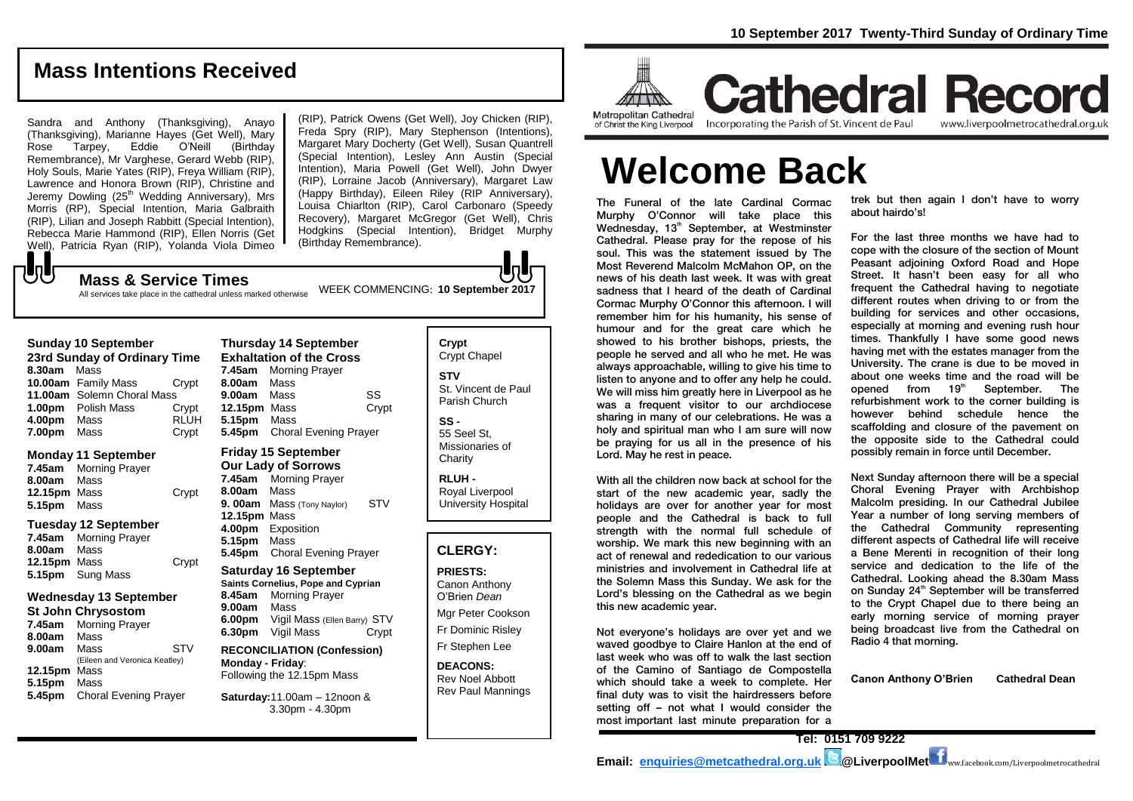#### **Mass Intentions Received**

Sandra and Anthony (Thanksgiving), Anayo (Thanksgiving), Marianne Hayes (Get Well), Mary Rose Tarpey, Eddie O'Neill (Birthday Remembrance), Mr Varghese, Gerard Webb (RIP), Holy Souls, Marie Yates (RIP), Freya William (RIP), Lawrence and Honora Brown (RIP), Christine and Jeremy Dowling (25<sup>th</sup> Wedding Anniversary), Mrs Morris (RP), Special Intention, Maria Galbraith (RIP), Lilian and Joseph Rabbitt (Special Intention), Rebecca Marie Hammond (RIP), Ellen Norris (Get Well), Patricia Ryan (RIP), Yolanda Viola Dimeo  $-\sqrt{2}$ 

(RIP), Patrick Owens (Get Well), Joy Chicken (RIP), Freda Spry (RIP), Mary Stephenson (Intentions), Margaret Mary Docherty (Get Well), Susan Quantrell (Special Intention), Lesley Ann Austin (Special Intention), Maria Powell (Get Well), John Dwyer (RIP), Lorraine Jacob (Anniversary), Margaret Law (Happy Birthday), Eileen Riley (RIP Anniversary), Louisa Chiarlton (RIP), Carol Carbonaro (Speedy Recovery), Margaret McGregor (Get Well), Chris Hodgkins (Special Intention), Bridget Murphy (Birthday Remembrance).

## WEEK COMMENCING: **10 September 2017 Mass & Service Times**

All services take place in the cathedral unless marked otherwise

| 8.30am<br>1.00pm<br>4.00pm                        | Sunday 10 September<br>23rd Sunday of Ordinary Time<br>Mass<br>10.00am Family Mass<br>11.00am Solemn Choral Mass<br>Polish Mass<br>Mass                                                   | Crypt<br>Crypt<br><b>RLUH</b> | 7.45am<br>8.00am<br>9.00am<br>12.15pm Mass<br>5.15pm                                                                                                                                            | <b>Thursday 14 September</b><br><b>Exhaltation of the Cross</b><br><b>Morning Prayer</b><br>Mass<br>Mass<br>Mass | SS<br>Crypt |
|---------------------------------------------------|-------------------------------------------------------------------------------------------------------------------------------------------------------------------------------------------|-------------------------------|-------------------------------------------------------------------------------------------------------------------------------------------------------------------------------------------------|------------------------------------------------------------------------------------------------------------------|-------------|
| 7.00pm                                            | Mass                                                                                                                                                                                      | Crypt                         | 5.45pm                                                                                                                                                                                          | <b>Choral Evening Prayer</b>                                                                                     |             |
| 7.45am<br>8.00am<br><b>12.15pm</b> Mass<br>5.15pm | Monday 11 September<br><b>Morning Prayer</b><br>Mass<br>Mass                                                                                                                              | Crypt                         | 7.45am<br>8.00am<br>9.00am<br>12.15pm Mass                                                                                                                                                      | <b>Friday 15 September</b><br><b>Our Lady of Sorrows</b><br><b>Morning Prayer</b><br>Mass<br>Mass (Tony Naylor)  | <b>STV</b>  |
| 7.45am<br>8.00am<br>12.15pm Mass                  | Tuesday 12 September<br>Morning Prayer<br>Mass                                                                                                                                            | Crypt                         | 5.15pm<br>5.45pm                                                                                                                                                                                | 4.00pm Exposition<br>Mass<br><b>Choral Evening Prayer</b>                                                        |             |
| 5.15pm<br>7.45am<br>8.00am                        | Sung Mass<br>Wednesday 13 September<br><b>St John Chrysostom</b><br>Morning Prayer<br>Mass<br><b>STV</b><br>Mass<br>(Eileen and Veronica Keatley)<br>Mass<br><b>Choral Evening Prayer</b> |                               | <b>Saturday 16 September</b><br>Saints Cornelius, Pope and Cyprian<br><b>Morning Prayer</b><br>8.45am<br>9.00am<br>Mass<br>6.00pm Vigil Mass (Ellen Barry) STV<br>Vigil Mass<br>Crypt<br>6.30pm |                                                                                                                  |             |
| 9.00am<br>12.15pm Mass<br>5.15pm<br>5.45pm        |                                                                                                                                                                                           |                               | <b>RECONCILIATION (Confession)</b><br>Monday - Friday:<br>Following the 12.15pm Mass<br>Saturday: 11.00am - 12noon &                                                                            |                                                                                                                  |             |
|                                                   |                                                                                                                                                                                           |                               |                                                                                                                                                                                                 | $3.30pm - 4.30pm$                                                                                                |             |
|                                                   |                                                                                                                                                                                           |                               |                                                                                                                                                                                                 |                                                                                                                  |             |

# **9. 00am** Mass (Tony Naylor) STV

Crypt Chapel **STV** St. Vincent de Paul Parish Church **SS -** 55 Seel St,

**Crypt** 

Missionaries of **Charity** 

**RLUH -** Royal Liverpool University Hospital

#### **CLERGY:**

**PRIESTS:** Canon Anthony O'Brien *Dean* Mgr Peter Cookson Fr Dominic Risley Fr Stephen Lee

**DEACONS:** Rev Noel Abbott Rev Paul Mannings



**Cathedral Record** of Christ the King Liverpool

Incorporating the Parish of St. Vincent de Paul

www.liverpoolmetrocathedral.org.uk

**Welcome Back**

The Funeral of the late Cardinal Cormac Murphy O'Connor will take place this Wednesday, 13<sup>th</sup> September, at Westminster Cathedral. Please pray for the repose of his soul. This was the statement issued by The Most Reverend Malcolm McMahon OP, on the news of his death last week. It was with great sadness that I heard of the death of Cardinal Cormac Murphy O'Connor this afternoon. I will remember him for his humanity, his sense of humour and for the great care which he showed to his brother bishops, priests, the people he served and all who he met. He was always approachable, willing to give his time to listen to anyone and to offer any help he could. We will miss him greatly here in Liverpool as he was a frequent visitor to our archdiocese sharing in many of our celebrations. He was a holy and spiritual man who I am sure will now be praying for us all in the presence of his Lord. May he rest in peace.

With all the children now back at school for the start of the new academic year, sadly the holidays are over for another year for most people and the Cathedral is back to full strength with the normal full schedule of worship. We mark this new beginning with an act of renewal and rededication to our various ministries and involvement in Cathedral life at the Solemn Mass this Sunday. We ask for the Lord's blessing on the Cathedral as we begin this new academic year.

Not everyone's holidays are over yet and we waved goodbye to Claire Hanlon at the end of last week who was off to walk the last section of the Camino of Santiago de Compostella which should take a week to complete. Her final duty was to visit the hairdressers before setting off – not what I would consider the most important last minute preparation for a

trek but then again I don't have to worry about hairdo's!

For the last three months we have had to cope with the closure of the section of Mount Peasant adjoining Oxford Road and Hope Street. It hasn't been easy for all who frequent the Cathedral having to negotiate different routes when driving to or from the building for services and other occasions, especially at morning and evening rush hour times. Thankfully I have some good news having met with the estates manager from the University. The crane is due to be moved in about one weeks time and the road will be opened from  $19<sup>th</sup>$  September. The refurbishment work to the corner building is however behind schedule hence the scaffolding and closure of the pavement on the opposite side to the Cathedral could possibly remain in force until December.

Next Sunday afternoon there will be a special Choral Evening Prayer with Archbishop Malcolm presiding. In our Cathedral Jubilee Year a number of long serving members of the Cathedral Community representing different aspects of Cathedral life will receive a Bene Merenti in recognition of their long service and dedication to the life of the Cathedral. Looking ahead the 8.30am Mass on Sunday 24<sup>th</sup> September will be transferred to the Crypt Chapel due to there being an early morning service of morning prayer being broadcast live from the Cathedral on Radio 4 that morning.

**Canon Anthony O'Brien Cathedral Dean**

**Tel: 0151 709 9222 Email: [enquiries@metcathedral.org.uk](mailto:enquiries@metcathedral.org.uk) <b>B**@LiverpoolMet **f** ww.facebook.com/Liverpoolmetrocathedral